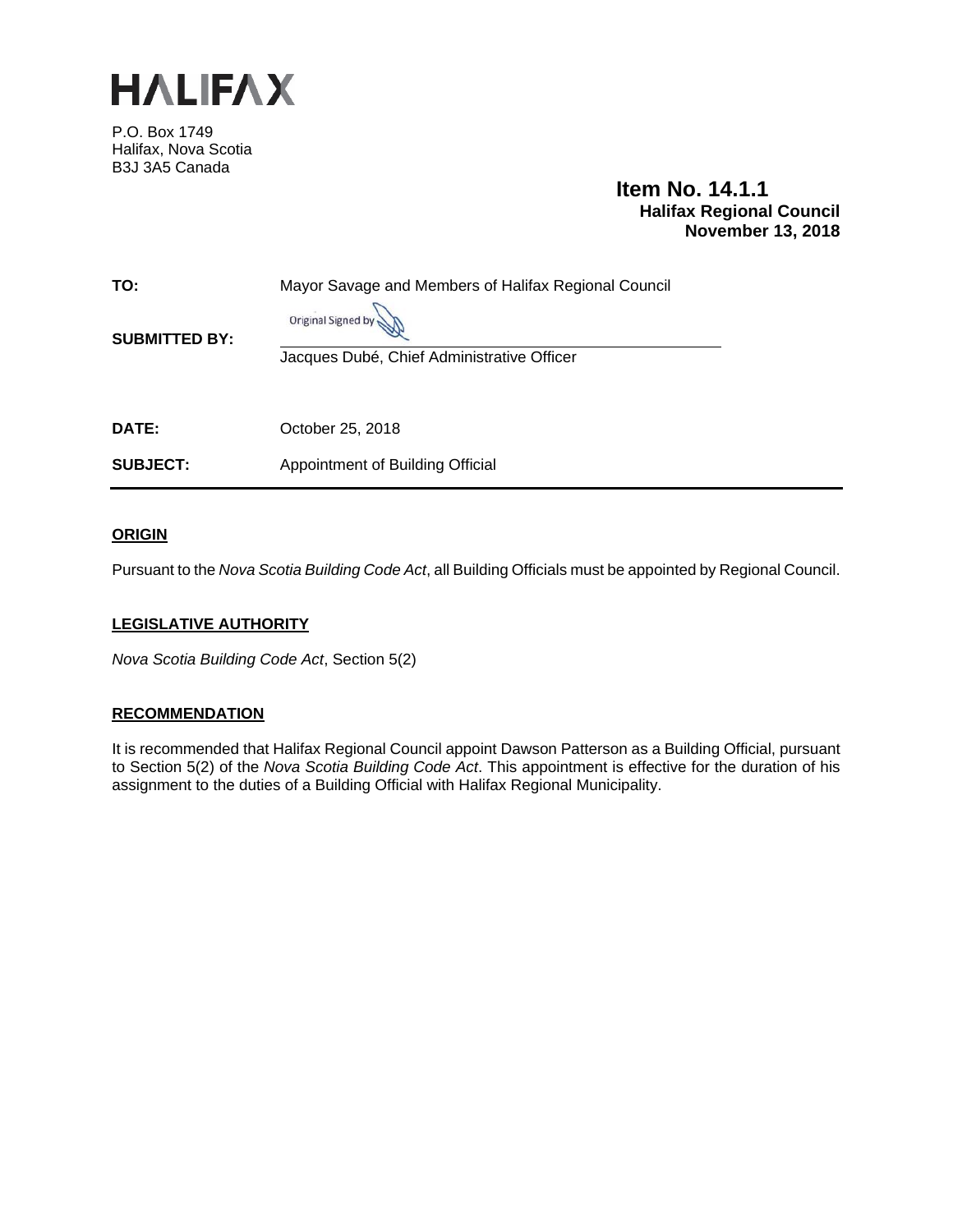

P.O. Box 1749 Halifax, Nova Scotia B3J 3A5 Canada

# **Item No. 14.1.1 Halifax Regional Council November 13, 2018**

| TO:<br><b>SUBMITTED BY:</b> | Mayor Savage and Members of Halifax Regional Council<br>Original Signed by |
|-----------------------------|----------------------------------------------------------------------------|
| DATE:                       | Jacques Dubé, Chief Administrative Officer                                 |
|                             | October 25, 2018                                                           |
| <b>SUBJECT:</b>             | Appointment of Building Official                                           |

# **ORIGIN**

Pursuant to the *Nova Scotia Building Code Act*, all Building Officials must be appointed by Regional Council.

# **LEGISLATIVE AUTHORITY**

*Nova Scotia Building Code Act*, Section 5(2)

## **RECOMMENDATION**

It is recommended that Halifax Regional Council appoint Dawson Patterson as a Building Official, pursuant to Section 5(2) of the *Nova Scotia Building Code Act*. This appointment is effective for the duration of his assignment to the duties of a Building Official with Halifax Regional Municipality.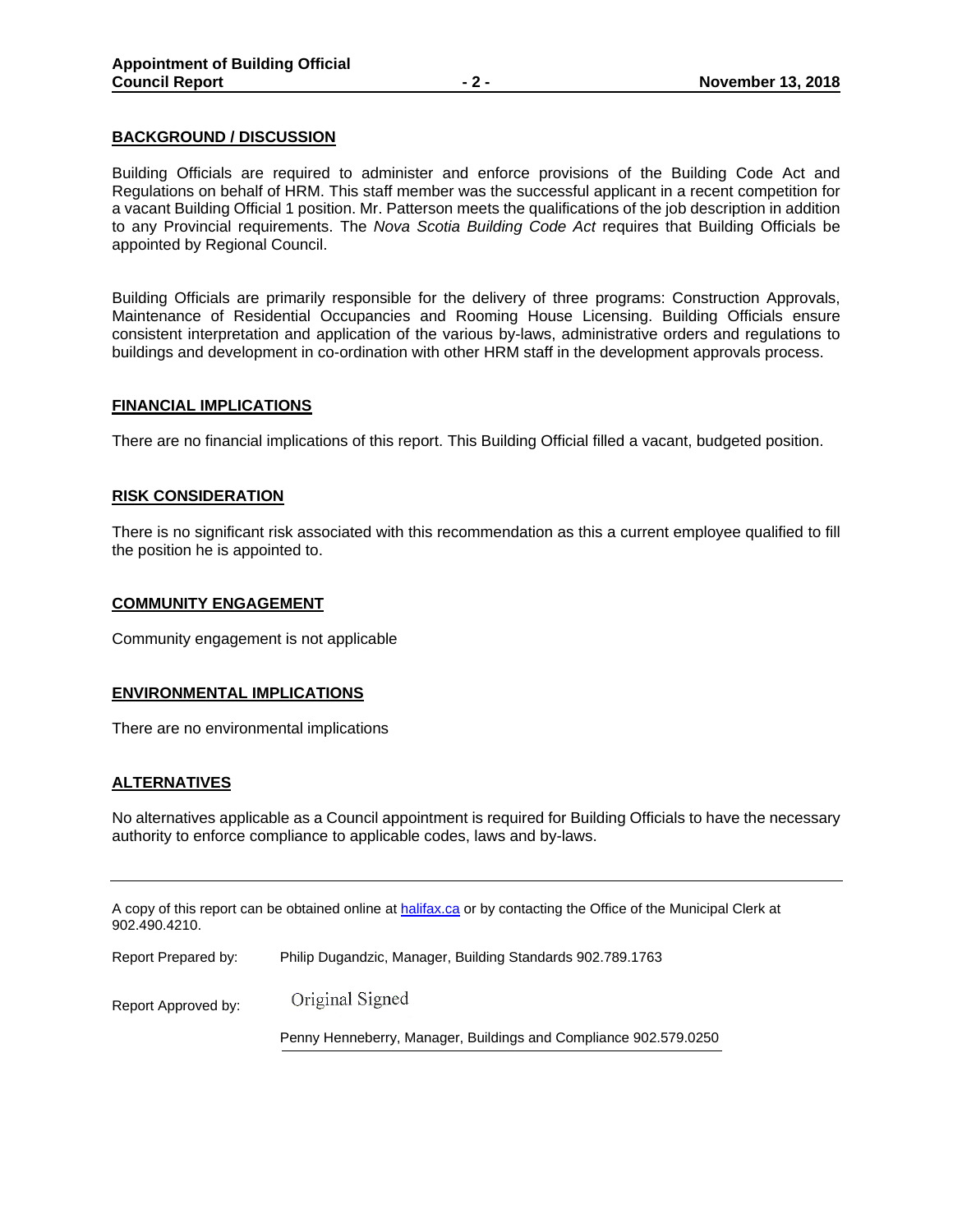## **BACKGROUND / DISCUSSION**

Building Officials are required to administer and enforce provisions of the Building Code Act and Regulations on behalf of HRM. This staff member was the successful applicant in a recent competition for a vacant Building Official 1 position. Mr. Patterson meets the qualifications of the job description in addition to any Provincial requirements. The *Nova Scotia Building Code Act* requires that Building Officials be appointed by Regional Council.

Building Officials are primarily responsible for the delivery of three programs: Construction Approvals, Maintenance of Residential Occupancies and Rooming House Licensing. Building Officials ensure consistent interpretation and application of the various by-laws, administrative orders and regulations to buildings and development in co-ordination with other HRM staff in the development approvals process.

## **FINANCIAL IMPLICATIONS**

There are no financial implications of this report. This Building Official filled a vacant, budgeted position.

### **RISK CONSIDERATION**

There is no significant risk associated with this recommendation as this a current employee qualified to fill the position he is appointed to.

#### **COMMUNITY ENGAGEMENT**

Community engagement is not applicable

#### **ENVIRONMENTAL IMPLICATIONS**

There are no environmental implications

## **ALTERNATIVES**

No alternatives applicable as a Council appointment is required for Building Officials to have the necessary authority to enforce compliance to applicable codes, laws and by-laws.

A copy of this report can be obtained online at halifax.ca or by contacting the Office of the Municipal Clerk at 902.490.4210.

| Report Prepared by: | Philip Dugandzic, Manager, Building Standards 902.789.1763       |  |
|---------------------|------------------------------------------------------------------|--|
| Report Approved by: | Original Signed                                                  |  |
|                     | Penny Henneberry, Manager, Buildings and Compliance 902.579.0250 |  |